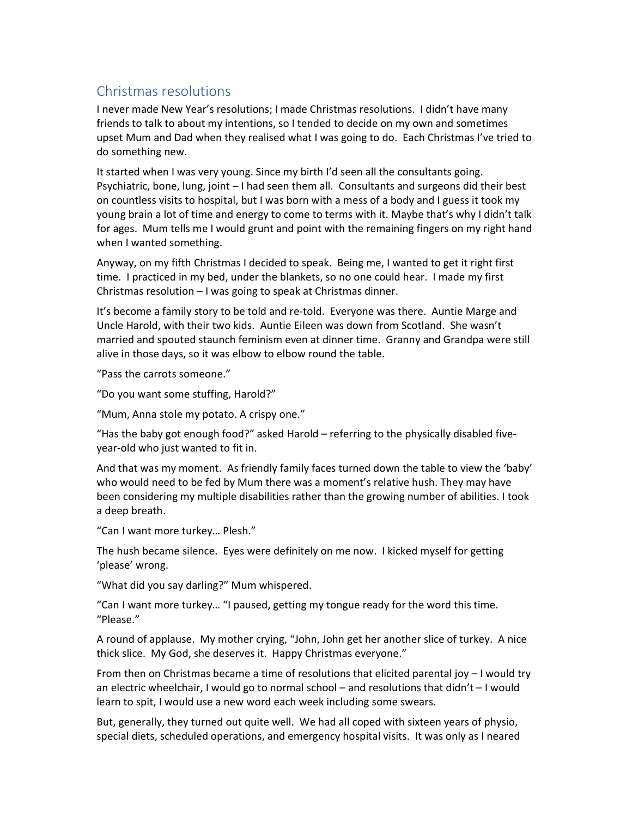## Christmas resolutions

I never made New Year's resolutions; I made Christmas resolutions. I didn't have many friends to talk to about my intentions, so I tended to decide on my own and sometimes upset Mum and Dad when they realised what I was going to do. Each Christmas I've tried to do something new.

It started when I was very young. Since my birth I'd seen all the consultants going. Psychiatric, bone, lung, joint – I had seen them all. Consultants and surgeons did their best on countless visits to hospital, but I was born with a mess of a body and I guess it took my young brain a lot of time and energy to come to terms with it. Maybe that's why I didn't talk for ages. Mum tells me I would grunt and point with the remaining fingers on my right hand when I wanted something.

Anyway, on my fifth Christmas I decided to speak. Being me, I wanted to get it right first time. I practiced in my bed, under the blankets, so no one could hear. I made my first Christmas resolution – I was going to speak at Christmas dinner.

It's become a family story to be told and re-told. Everyone was there. Auntie Marge and Uncle Harold, with their two kids. Auntie Eileen was down from Scotland. She wasn't married and spouted staunch feminism even at dinner time. Granny and Grandpa were still alive in those days, so it was elbow to elbow round the table.

"Pass the carrots someone."

"Do you want some stuffing, Harold?"

"Mum, Anna stole my potato. A crispy one."

"Has the baby got enough food?" asked Harold – referring to the physically disabled fiveyear-old who just wanted to fit in.

And that was my moment. As friendly family faces turned down the table to view the 'baby' who would need to be fed by Mum there was a moment's relative hush. They may have been considering my multiple disabilities rather than the growing number of abilities. I took a deep breath.

"Can I want more turkey… Plesh."

The hush became silence. Eyes were definitely on me now. I kicked myself for getting 'please' wrong.

"What did you say darling?" Mum whispered.

"Can I want more turkey… "I paused, getting my tongue ready for the word this time. "Please."

A round of applause. My mother crying, "John, John get her another slice of turkey. A nice thick slice. My God, she deserves it. Happy Christmas everyone."

From then on Christmas became a time of resolutions that elicited parental joy – I would try an electric wheelchair, I would go to normal school – and resolutions that didn't – I would learn to spit, I would use a new word each week including some swears.

But, generally, they turned out quite well. We had all coped with sixteen years of physio, special diets, scheduled operations, and emergency hospital visits. It was only as I neared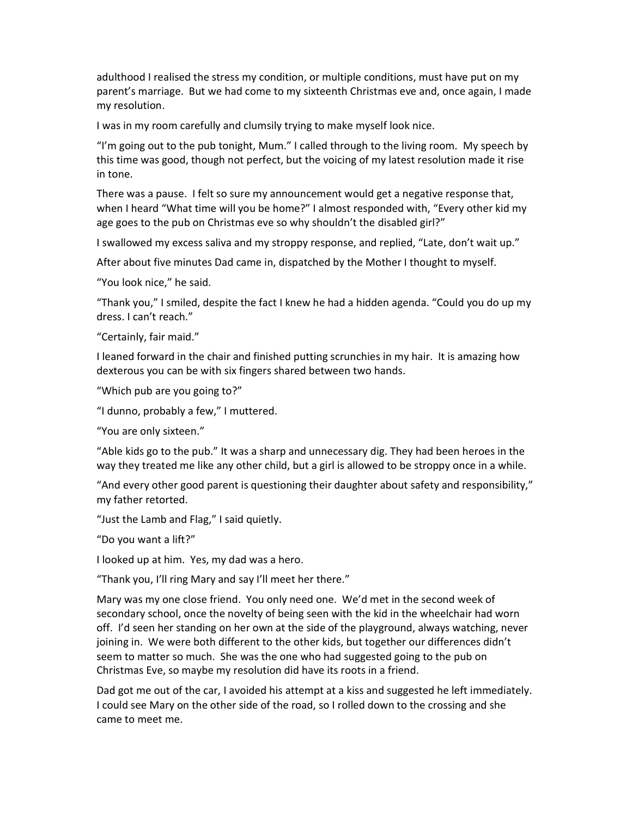adulthood I realised the stress my condition, or multiple conditions, must have put on my parent's marriage. But we had come to my sixteenth Christmas eve and, once again, I made my resolution.

I was in my room carefully and clumsily trying to make myself look nice.

"I'm going out to the pub tonight, Mum." I called through to the living room. My speech by this time was good, though not perfect, but the voicing of my latest resolution made it rise in tone.

There was a pause. I felt so sure my announcement would get a negative response that, when I heard "What time will you be home?" I almost responded with, "Every other kid my age goes to the pub on Christmas eve so why shouldn't the disabled girl?"

I swallowed my excess saliva and my stroppy response, and replied, "Late, don't wait up."

After about five minutes Dad came in, dispatched by the Mother I thought to myself.

"You look nice," he said.

"Thank you," I smiled, despite the fact I knew he had a hidden agenda. "Could you do up my dress. I can't reach."

"Certainly, fair maid."

I leaned forward in the chair and finished putting scrunchies in my hair. It is amazing how dexterous you can be with six fingers shared between two hands.

"Which pub are you going to?"

"I dunno, probably a few," I muttered.

"You are only sixteen."

"Able kids go to the pub." It was a sharp and unnecessary dig. They had been heroes in the way they treated me like any other child, but a girl is allowed to be stroppy once in a while.

"And every other good parent is questioning their daughter about safety and responsibility," my father retorted.

"Just the Lamb and Flag," I said quietly.

"Do you want a lift?"

I looked up at him. Yes, my dad was a hero.

"Thank you, I'll ring Mary and say I'll meet her there."

Mary was my one close friend. You only need one. We'd met in the second week of secondary school, once the novelty of being seen with the kid in the wheelchair had worn off. I'd seen her standing on her own at the side of the playground, always watching, never joining in. We were both different to the other kids, but together our differences didn't seem to matter so much. She was the one who had suggested going to the pub on Christmas Eve, so maybe my resolution did have its roots in a friend.

Dad got me out of the car, I avoided his attempt at a kiss and suggested he left immediately. I could see Mary on the other side of the road, so I rolled down to the crossing and she came to meet me.